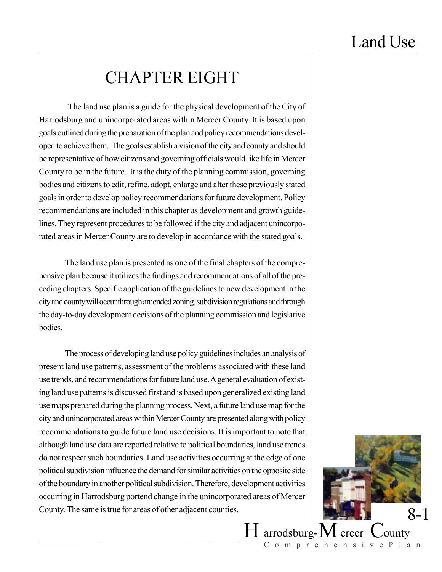## CHAPTER EIGHT

 The land use plan is a guide for the physical development of the City of Harrodsburg and unincorporated areas within Mercer County. It is based upon goals outlined during the preparation of the plan and policy recommendations developed to achieve them. The goals establish a vision of the city and county and should be representative of how citizens and governing officials would like life in Mercer County to be in the future. It is the duty of the planning commission, governing bodies and citizens to edit, refine, adopt, enlarge and alter these previously stated goals in order to develop policy recommendations for future development. Policy recommendations are included in this chapter as development and growth guidelines. They represent procedures to be followed if the city and adjacent unincorporated areas in Mercer County are to develop in accordance with the stated goals.

The land use plan is presented as one of the final chapters of the comprehensive plan because it utilizes the findings and recommendations of all of the preceding chapters. Specific application of the guidelines to new development in the city and county will occur through amended zoning, subdivision regulations and through the day-to-day development decisions of the planning commission and legislative **bodies** 

The process of developing land use policy guidelines includes an analysis of present land use patterns, assessment of the problems associated with these land use trends, and recommendations for future land use. A general evaluation of existing land use patterns is discussed first and is based upon generalized existing land use maps prepared during the planning process. Next, a future land use map for the city and unincorporated areas within Mercer County are presented along with policy recommendations to guide future land use decisions. It is important to note that although land use data are reported relative to political boundaries, land use trends do not respect such boundaries. Land use activities occurring at the edge of one political subdivision influence the demand for similar activities on the opposite side of the boundary in another political subdivision. Therefore, development activities occurring in Harrodsburg portend change in the unincorporated areas of Mercer County. The same is true for areas of other adjacent counties.



 $H$  arrodsburg- $M$  ercer  $C$ ounty ComprehensivePlan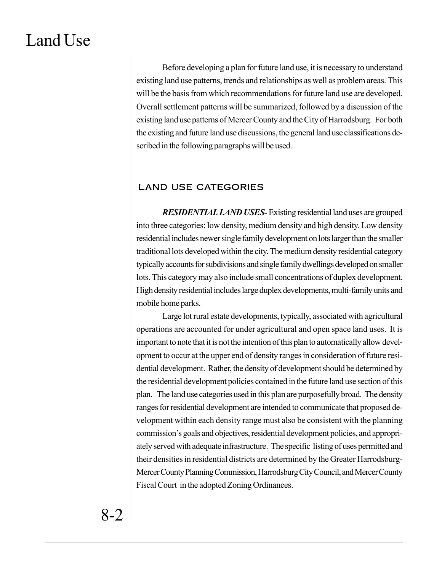Before developing a plan for future land use, it is necessary to understand existing land use patterns, trends and relationships as well as problem areas. This will be the basis from which recommendations for future land use are developed. Overall settlement patterns will be summarized, followed by a discussion of the existing land use patterns of Mercer County and the City of Harrodsburg. For both the existing and future land use discussions, the general land use classifications described in the following paragraphs will be used.

### LAND USE CATEGORIES

*RESIDENTIAL LAND USES-*Existing residential land uses are grouped into three categories: low density, medium density and high density. Low density residential includes newer single family development on lots larger than the smaller traditional lots developed within the city. The medium density residential category typically accounts for subdivisions and single family dwellings developed on smaller lots. This category may also include small concentrations of duplex development. High density residential includes large duplex developments, multi-family units and mobile home parks.

Large lot rural estate developments, typically, associated with agricultural operations are accounted for under agricultural and open space land uses. It is important to note that it is not the intention of this plan to automatically allow development to occur at the upper end of density ranges in consideration of future residential development. Rather, the density of development should be determined by the residential development policies contained in the future land use section of this plan. The land use categories used in this plan are purposefully broad. The density ranges for residential development are intended to communicate that proposed development within each density range must also be consistent with the planning commission's goals and objectives, residential development policies, and appropriately served with adequate infrastructure. The specific listing of uses permitted and their densities in residential districts are determined by the Greater Harrodsburg-Mercer County Planning Commission, Harrodsburg City Council, and Mercer County Fiscal Court in the adopted Zoning Ordinances.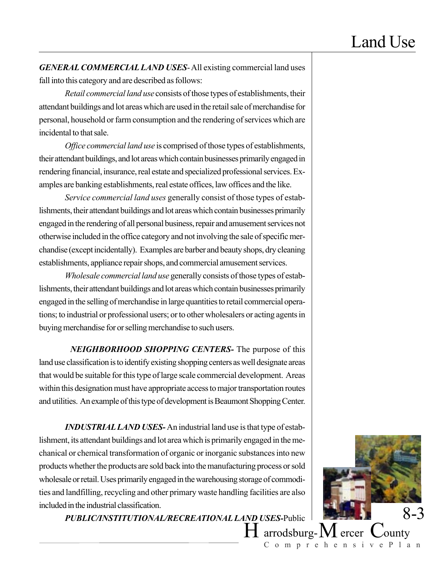*GENERAL COMMERCIAL LAND USES*- All existing commercial land uses fall into this category and are described as follows:

*Retail commercial land use* consists of those types of establishments, their attendant buildings and lot areas which are used in the retail sale of merchandise for personal, household or farm consumption and the rendering of services which are incidental to that sale.

*Office commercial land use* is comprised of those types of establishments, their attendant buildings, and lot areas which contain businesses primarily engaged in rendering financial, insurance, real estate and specialized professional services. Examples are banking establishments, real estate offices, law offices and the like.

*Service commercial land uses* generally consist of those types of establishments, their attendant buildings and lot areas which contain businesses primarily engaged in the rendering of all personal business, repair and amusement services not otherwise included in the office category and not involving the sale of specific merchandise (except incidentally). Examples are barber and beauty shops, dry cleaning establishments, appliance repair shops, and commercial amusement services.

*Wholesale commercial land use* generally consists of those types of establishments, their attendant buildings and lot areas which contain businesses primarily engaged in the selling of merchandise in large quantities to retail commercial operations; to industrial or professional users; or to other wholesalers or acting agents in buying merchandise for or selling merchandise to such users.

 *NEIGHBORHOOD SHOPPING CENTERS-* The purpose of this land use classification is to identify existing shopping centers as well designate areas that would be suitable for this type of large scale commercial development. Areas within this designation must have appropriate access to major transportation routes and utilities. An example of this type of development is Beaumont Shopping Center.

*INDUSTRIAL LAND USES-* An industrial land use is that type of establishment, its attendant buildings and lot area which is primarily engaged in the mechanical or chemical transformation of organic or inorganic substances into new products whether the products are sold back into the manufacturing process or sold wholesale or retail. Uses primarily engaged in the warehousing storage of commodities and landfilling, recycling and other primary waste handling facilities are also included in the industrial classification.

*PUBLIC/INSTITUTIONAL/RECREATIONAL LAND USES-*Public

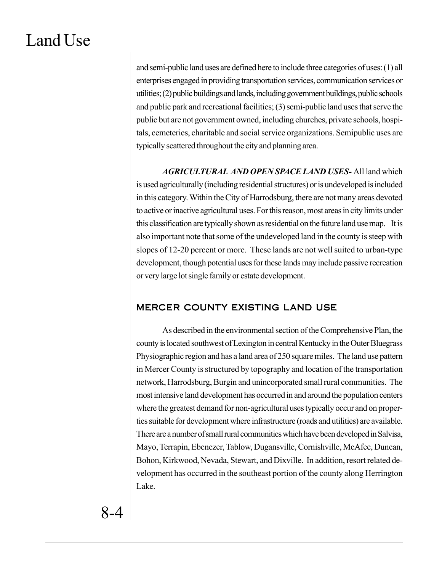and semi-public land uses are defined here to include three categories of uses: (1) all enterprises engaged in providing transportation services, communication services or utilities; (2) public buildings and lands, including government buildings, public schools and public park and recreational facilities; (3) semi-public land uses that serve the public but are not government owned, including churches, private schools, hospitals, cemeteries, charitable and social service organizations. Semipublic uses are typically scattered throughout the city and planning area.

*AGRICULTURAL AND OPEN SPACE LAND USES-* All land which is used agriculturally (including residential structures) or is undeveloped is included in this category. Within the City of Harrodsburg, there are not many areas devoted to active or inactive agricultural uses. For this reason, most areas in city limits under this classification are typically shown as residential on the future land use map. It is also important note that some of the undeveloped land in the county is steep with slopes of 12-20 percent or more. These lands are not well suited to urban-type development, though potential uses for these lands may include passive recreation or very large lot single family or estate development.

### MERCER COUNTY EXISTING LAND USE

As described in the environmental section of the Comprehensive Plan, the county is located southwest of Lexington in central Kentucky in the Outer Bluegrass Physiographic region and has a land area of 250 square miles. The land use pattern in Mercer County is structured by topography and location of the transportation network, Harrodsburg, Burgin and unincorporated small rural communities. The most intensive land development has occurred in and around the population centers where the greatest demand for non-agricultural uses typically occur and on properties suitable for development where infrastructure (roads and utilities) are available. There are a number of small rural communities which have been developed in Salvisa, Mayo, Terrapin, Ebenezer, Tablow, Dugansville, Cornishville, McAfee, Duncan, Bohon, Kirkwood, Nevada, Stewart, and Dixville. In addition, resort related development has occurred in the southeast portion of the county along Herrington Lake.

8-4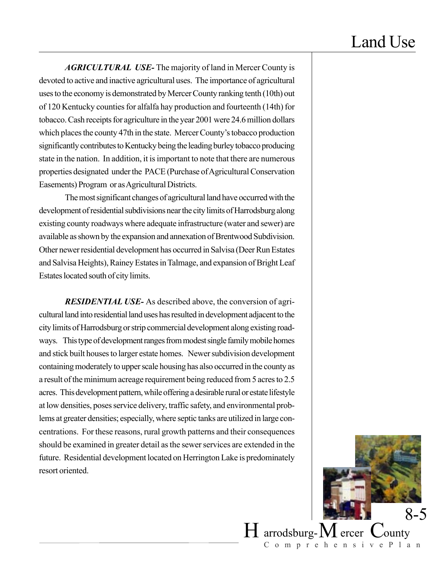$H$  arrodsburg- $M$  ercer  $C$ ounty

ComprehensivePlan

8-5

*AGRICULTURAL USE-* The majority of land in Mercer County is devoted to active and inactive agricultural uses. The importance of agricultural uses to the economy is demonstrated by Mercer County ranking tenth (10th) out of 120 Kentucky counties for alfalfa hay production and fourteenth (14th) for tobacco. Cash receipts for agriculture in the year 2001 were 24.6 million dollars which places the county 47th in the state. Mercer County's tobacco production significantly contributes to Kentucky being the leading burley tobacco producing state in the nation. In addition, it is important to note that there are numerous properties designated under the PACE (Purchase of Agricultural Conservation Easements) Program or as Agricultural Districts.

The most significant changes of agricultural land have occurred with the development of residential subdivisions near the city limits of Harrodsburg along existing county roadways where adequate infrastructure (water and sewer) are available as shown by the expansion and annexation of Brentwood Subdivision. Other newer residential development has occurred in Salvisa (Deer Run Estates and Salvisa Heights), Rainey Estates in Talmage, and expansion of Bright Leaf Estates located south of city limits.

*RESIDENTIAL USE-* As described above, the conversion of agricultural land into residential land uses has resulted in development adjacent to the city limits of Harrodsburg or strip commercial development along existing roadways. This type of development ranges from modest single family mobile homes and stick built houses to larger estate homes. Newer subdivision development containing moderately to upper scale housing has also occurred in the county as a result of the minimum acreage requirement being reduced from 5 acres to 2.5 acres. This development pattern, while offering a desirable rural or estate lifestyle at low densities, poses service delivery, traffic safety, and environmental problems at greater densities; especially, where septic tanks are utilized in large concentrations. For these reasons, rural growth patterns and their consequences should be examined in greater detail as the sewer services are extended in the future. Residential development located on Herrington Lake is predominately resort oriented.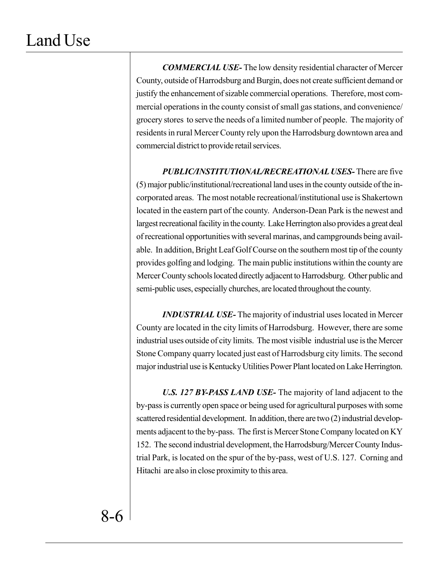*COMMERCIAL USE-* The low density residential character of Mercer County, outside of Harrodsburg and Burgin, does not create sufficient demand or justify the enhancement of sizable commercial operations. Therefore, most commercial operations in the county consist of small gas stations, and convenience/ grocery stores to serve the needs of a limited number of people. The majority of residents in rural Mercer County rely upon the Harrodsburg downtown area and commercial district to provide retail services.

*PUBLIC/INSTITUTIONAL/RECREATIONAL USES-* There are five (5) major public/institutional/recreational land uses in the county outside of the incorporated areas. The most notable recreational/institutional use is Shakertown located in the eastern part of the county. Anderson-Dean Park is the newest and largest recreational facility in the county. Lake Herrington also provides a great deal of recreational opportunities with several marinas, and campgrounds being available. In addition, Bright Leaf Golf Course on the southern most tip of the county provides golfing and lodging. The main public institutions within the county are Mercer County schools located directly adjacent to Harrodsburg. Other public and semi-public uses, especially churches, are located throughout the county.

*INDUSTRIAL USE-* The majority of industrial uses located in Mercer County are located in the city limits of Harrodsburg. However, there are some industrial uses outside of city limits. The most visible industrial use is the Mercer Stone Company quarry located just east of Harrodsburg city limits. The second major industrial use is Kentucky Utilities Power Plant located on Lake Herrington.

*U.S. 127 BY-PASS LAND USE-* The majority of land adjacent to the by-pass is currently open space or being used for agricultural purposes with some scattered residential development. In addition, there are two (2) industrial developments adjacent to the by-pass. The first is Mercer Stone Company located on KY 152. The second industrial development, the Harrodsburg/Mercer County Industrial Park, is located on the spur of the by-pass, west of U.S. 127. Corning and Hitachi are also in close proximity to this area.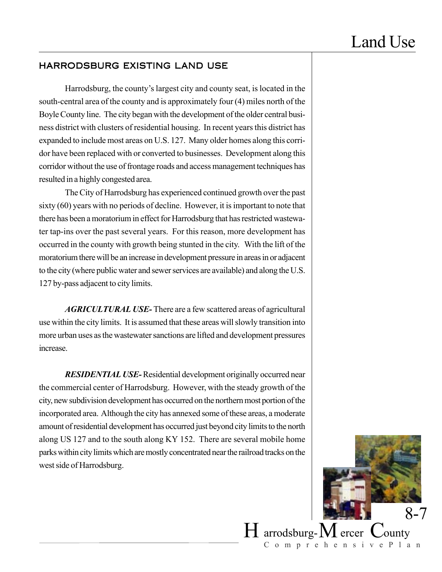### HARRODSBURG EXISTING LAND USE

Harrodsburg, the county's largest city and county seat, is located in the south-central area of the county and is approximately four (4) miles north of the Boyle County line. The city began with the development of the older central business district with clusters of residential housing. In recent years this district has expanded to include most areas on U.S. 127. Many older homes along this corridor have been replaced with or converted to businesses. Development along this corridor without the use of frontage roads and access management techniques has resulted in a highly congested area.

The City of Harrodsburg has experienced continued growth over the past sixty (60) years with no periods of decline. However, it is important to note that there has been a moratorium in effect for Harrodsburg that has restricted wastewater tap-ins over the past several years. For this reason, more development has occurred in the county with growth being stunted in the city. With the lift of the moratorium there will be an increase in development pressure in areas in or adjacent to the city (where public water and sewer services are available) and along the U.S. 127 by-pass adjacent to city limits.

*AGRICULTURAL USE-* There are a few scattered areas of agricultural use within the city limits. It is assumed that these areas will slowly transition into more urban uses as the wastewater sanctions are lifted and development pressures increase.

*RESIDENTIAL USE-*Residential development originally occurred near the commercial center of Harrodsburg. However, with the steady growth of the city, new subdivision development has occurred on the northern most portion of the incorporated area. Although the city has annexed some of these areas, a moderate amount of residential development has occurred just beyond city limits to the north along US 127 and to the south along KY 152. There are several mobile home parks within city limits which are mostly concentrated near the railroad tracks on the west side of Harrodsburg.

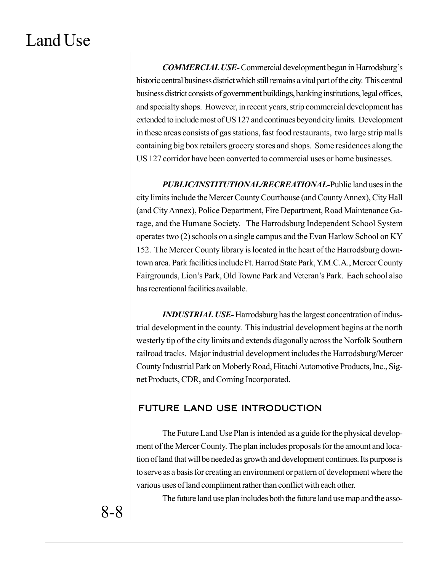*COMMERCIAL USE-*Commercial development began in Harrodsburg's historic central business district which still remains a vital part of the city. This central business district consists of government buildings, banking institutions, legal offices, and specialty shops. However, in recent years, strip commercial development has extended to include most of US 127 and continues beyond city limits. Development in these areas consists of gas stations, fast food restaurants, two large strip malls containing big box retailers grocery stores and shops. Some residences along the US 127 corridor have been converted to commercial uses or home businesses.

*PUBLIC/INSTITUTIONAL/RECREATIONAL-*Public land uses in the city limits include the Mercer County Courthouse (and County Annex), City Hall (and City Annex), Police Department, Fire Department, Road Maintenance Garage, and the Humane Society. The Harrodsburg Independent School System operates two (2) schools on a single campus and the Evan Harlow School on KY 152. The Mercer County library is located in the heart of the Harrodsburg downtown area. Park facilities include Ft. Harrod State Park, Y.M.C.A., Mercer County Fairgrounds, Lion's Park, Old Towne Park and Veteran's Park. Each school also has recreational facilities available.

*INDUSTRIAL USE-* Harrodsburg has the largest concentration of industrial development in the county. This industrial development begins at the north westerly tip of the city limits and extends diagonally across the Norfolk Southern railroad tracks. Major industrial development includes the Harrodsburg/Mercer County Industrial Park on Moberly Road, Hitachi Automotive Products, Inc., Signet Products, CDR, and Corning Incorporated.

## FUTURE LAND USE INTRODUCTION

The Future Land Use Plan is intended as a guide for the physical development of the Mercer County. The plan includes proposals for the amount and location of land that will be needed as growth and development continues. Its purpose is to serve as a basis for creating an environment or pattern of development where the various uses of land compliment rather than conflict with each other.

The future land use plan includes both the future land use map and the asso-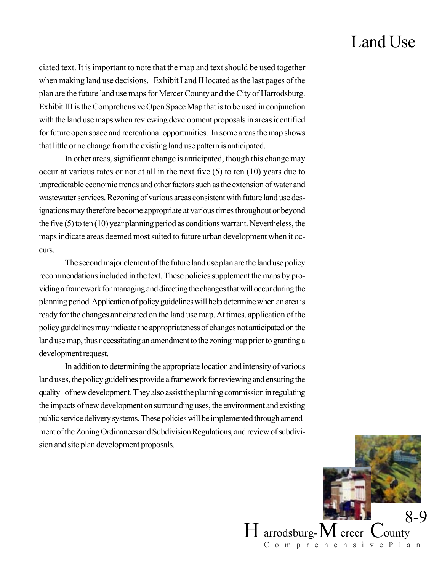ciated text. It is important to note that the map and text should be used together when making land use decisions. Exhibit I and II located as the last pages of the plan are the future land use maps for Mercer County and the City of Harrodsburg. Exhibit III is the Comprehensive Open Space Map that is to be used in conjunction with the land use maps when reviewing development proposals in areas identified for future open space and recreational opportunities. In some areas the map shows that little or no change from the existing land use pattern is anticipated.

In other areas, significant change is anticipated, though this change may occur at various rates or not at all in the next five (5) to ten (10) years due to unpredictable economic trends and other factors such as the extension of water and wastewater services. Rezoning of various areas consistent with future land use designations may therefore become appropriate at various times throughout or beyond the five (5) to ten (10) year planning period as conditions warrant. Nevertheless, the maps indicate areas deemed most suited to future urban development when it occurs.

The second major element of the future land use plan are the land use policy recommendations included in the text. These policies supplement the maps by providing a framework for managing and directing the changes that will occur during the planning period. Application of policy guidelines will help determine when an area is ready for the changes anticipated on the land use map. At times, application of the policy guidelines may indicate the appropriateness of changes not anticipated on the land use map, thus necessitating an amendment to the zoning map prior to granting a development request.

In addition to determining the appropriate location and intensity of various land uses, the policy guidelines provide a framework for reviewing and ensuring the quality of new development. They also assist the planning commission in regulating the impacts of new development on surrounding uses, the environment and existing public service delivery systems. These policies will be implemented through amendment of the Zoning Ordinances and Subdivision Regulations, and review of subdivision and site plan development proposals.

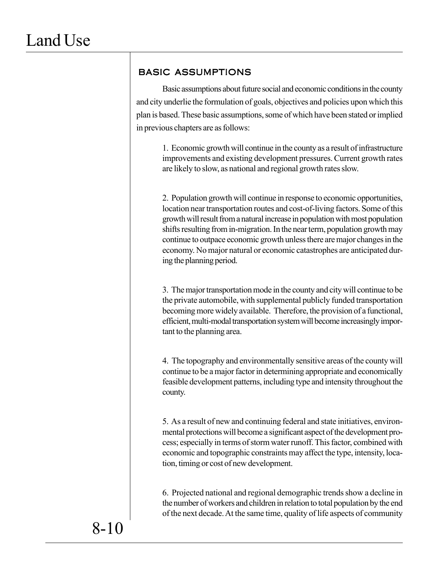## BASIC ASSUMPTIONS

Basic assumptions about future social and economic conditions in the county and city underlie the formulation of goals, objectives and policies upon which this plan is based. These basic assumptions, some of which have been stated or implied in previous chapters are as follows:

> 1. Economic growth will continue in the county as a result of infrastructure improvements and existing development pressures. Current growth rates are likely to slow, as national and regional growth rates slow.

> 2. Population growth will continue in response to economic opportunities, location near transportation routes and cost-of-living factors. Some of this growth will result from a natural increase in population with most population shifts resulting from in-migration. In the near term, population growth may continue to outpace economic growth unless there are major changes in the economy. No major natural or economic catastrophes are anticipated during the planning period.

> 3. The major transportation mode in the county and city will continue to be the private automobile, with supplemental publicly funded transportation becoming more widely available. Therefore, the provision of a functional, efficient, multi-modal transportation system will become increasingly important to the planning area.

> 4. The topography and environmentally sensitive areas of the county will continue to be a major factor in determining appropriate and economically feasible development patterns, including type and intensity throughout the county.

> 5. As a result of new and continuing federal and state initiatives, environmental protections will become a significant aspect of the development process; especially in terms of storm water runoff. This factor, combined with economic and topographic constraints may affect the type, intensity, location, timing or cost of new development.

> 6. Projected national and regional demographic trends show a decline in the number of workers and children in relation to total population by the end of the next decade. At the same time, quality of life aspects of community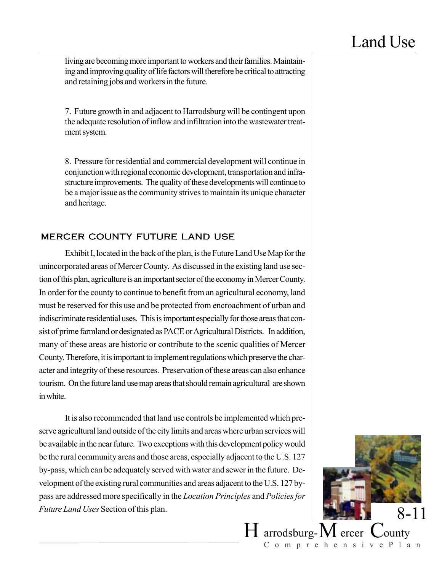living are becoming more important to workers and their families. Maintaining and improving quality of life factors will therefore be critical to attracting and retaining jobs and workers in the future.

7. Future growth in and adjacent to Harrodsburg will be contingent upon the adequate resolution of inflow and infiltration into the wastewater treatment system.

8. Pressure for residential and commercial development will continue in conjunction with regional economic development, transportation and infrastructure improvements. The quality of these developments will continue to be a major issue as the community strives to maintain its unique character and heritage.

### MERCER COUNTY FUTURE LAND USE

Exhibit I, located in the back of the plan, is the Future Land Use Map for the unincorporated areas of Mercer County. As discussed in the existing land use section of this plan, agriculture is an important sector of the economy in Mercer County. In order for the county to continue to benefit from an agricultural economy, land must be reserved for this use and be protected from encroachment of urban and indiscriminate residential uses. This is important especially for those areas that consist of prime farmland or designated as PACE or Agricultural Districts. In addition, many of these areas are historic or contribute to the scenic qualities of Mercer County. Therefore, it is important to implement regulations which preserve the character and integrity of these resources. Preservation of these areas can also enhance tourism. On the future land use map areas that should remain agricultural are shown in white.

It is also recommended that land use controls be implemented which preserve agricultural land outside of the city limits and areas where urban services will be available in the near future. Two exceptions with this development policy would be the rural community areas and those areas, especially adjacent to the U.S. 127 by-pass, which can be adequately served with water and sewer in the future. Development of the existing rural communities and areas adjacent to the U.S. 127 bypass are addressed more specifically in the *Location Principles* and *Policies for Future Land Uses* Section of this plan.

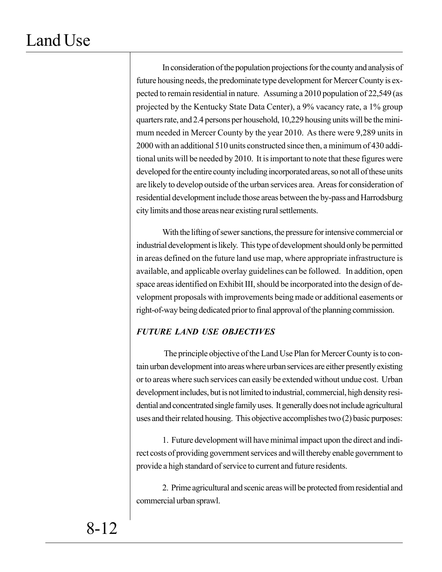In consideration of the population projections for the county and analysis of future housing needs, the predominate type development for Mercer County is expected to remain residential in nature. Assuming a 2010 population of 22,549 (as projected by the Kentucky State Data Center), a 9% vacancy rate, a 1% group quarters rate, and 2.4 persons per household, 10,229 housing units will be the minimum needed in Mercer County by the year 2010. As there were 9,289 units in 2000 with an additional 510 units constructed since then, a minimum of 430 additional units will be needed by 2010. It is important to note that these figures were developed for the entire county including incorporated areas, so not all of these units are likely to develop outside of the urban services area. Areas for consideration of residential development include those areas between the by-pass and Harrodsburg city limits and those areas near existing rural settlements.

With the lifting of sewer sanctions, the pressure for intensive commercial or industrial development is likely. This type of development should only be permitted in areas defined on the future land use map, where appropriate infrastructure is available, and applicable overlay guidelines can be followed. In addition, open space areas identified on Exhibit III, should be incorporated into the design of development proposals with improvements being made or additional easements or right-of-way being dedicated prior to final approval of the planning commission.

## *FUTURE LAND USE OBJECTIVES*

The principle objective of the Land Use Plan for Mercer County is to contain urban development into areas where urban services are either presently existing or to areas where such services can easily be extended without undue cost. Urban development includes, but is not limited to industrial, commercial, high density residential and concentrated single family uses. It generally does not include agricultural uses and their related housing. This objective accomplishes two (2) basic purposes:

1. Future development will have minimal impact upon the direct and indirect costs of providing government services and will thereby enable government to provide a high standard of service to current and future residents.

2. Prime agricultural and scenic areas will be protected from residential and commercial urban sprawl.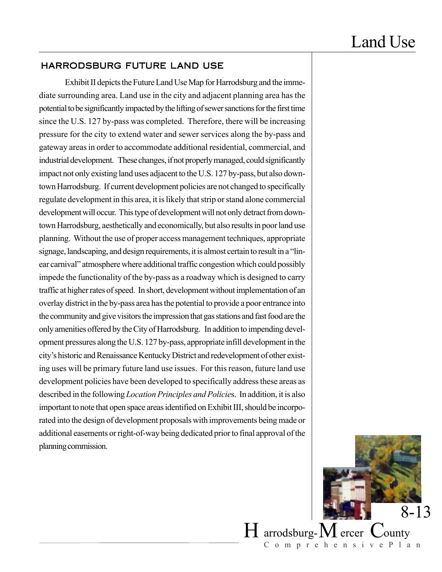### HARRODSBURG FUTURE LAND USE

Exhibit II depicts the Future Land Use Map for Harrodsburg and the immediate surrounding area. Land use in the city and adjacent planning area has the potential to be significantly impacted by the lifting of sewer sanctions for the first time since the U.S. 127 by-pass was completed. Therefore, there will be increasing pressure for the city to extend water and sewer services along the by-pass and gateway areas in order to accommodate additional residential, commercial, and industrial development. These changes, if not properly managed, could significantly impact not only existing land uses adjacent to the U.S. 127 by-pass, but also downtown Harrodsburg. If current development policies are not changed to specifically regulate development in this area, it is likely that strip or stand alone commercial development will occur. This type of development will not only detract from downtown Harrodsburg, aesthetically and economically, but also results in poor land use planning. Without the use of proper access management techniques, appropriate signage, landscaping, and design requirements, it is almost certain to result in a "linear carnival" atmosphere where additional traffic congestion which could possibly impede the functionality of the by-pass as a roadway which is designed to carry traffic at higher rates of speed. In short, development without implementation of an overlay district in the by-pass area has the potential to provide a poor entrance into the community and give visitors the impression that gas stations and fast food are the only amenities offered by the City of Harrodsburg. In addition to impending development pressures along the U.S. 127 by-pass, appropriate infill development in the city's historic and Renaissance Kentucky District and redevelopment of other existing uses will be primary future land use issues. For this reason, future land use development policies have been developed to specifically address these areas as described in the following *Location Principles and Policie*s. In addition, it is also important to note that open space areas identified on Exhibit III, should be incorporated into the design of development proposals with improvements being made or additional easements or right-of-way being dedicated prior to final approval of the planning commission.

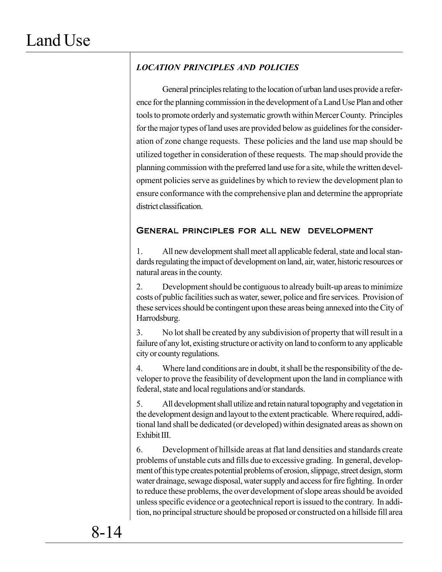## *LOCATION PRINCIPLES AND POLICIES*

General principles relating to the location of urban land uses provide a reference for the planning commission in the development of a Land Use Plan and other tools to promote orderly and systematic growth within Mercer County. Principles for the major types of land uses are provided below as guidelines for the consideration of zone change requests. These policies and the land use map should be utilized together in consideration of these requests. The map should provide the planning commission with the preferred land use for a site, while the written development policies serve as guidelines by which to review the development plan to ensure conformance with the comprehensive plan and determine the appropriate district classification.

### General principles for all new development

1. All new development shall meet all applicable federal, state and local standards regulating the impact of development on land, air, water, historic resources or natural areas in the county.

2. Development should be contiguous to already built-up areas to minimize costs of public facilities such as water, sewer, police and fire services. Provision of these services should be contingent upon these areas being annexed into the City of Harrodsburg.

3. No lot shall be created by any subdivision of property that will result in a failure of any lot, existing structure or activity on land to conform to any applicable city or county regulations.

4. Where land conditions are in doubt, it shall be the responsibility of the developer to prove the feasibility of development upon the land in compliance with federal, state and local regulations and/or standards.

5. All development shall utilize and retain natural topography and vegetation in the development design and layout to the extent practicable. Where required, additional land shall be dedicated (or developed) within designated areas as shown on Exhibit III.

6. Development of hillside areas at flat land densities and standards create problems of unstable cuts and fills due to excessive grading. In general, development of this type creates potential problems of erosion, slippage, street design, storm water drainage, sewage disposal, water supply and access for fire fighting. In order to reduce these problems, the over development of slope areas should be avoided unless specific evidence or a geotechnical report is issued to the contrary. In addition, no principal structure should be proposed or constructed on a hillside fill area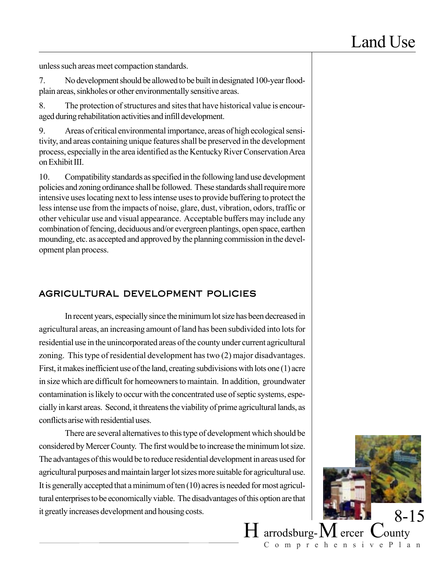unless such areas meet compaction standards.

7. No development should be allowed to be built in designated 100-year floodplain areas, sinkholes or other environmentally sensitive areas.

8. The protection of structures and sites that have historical value is encouraged during rehabilitation activities and infill development.

9. Areas of critical environmental importance, areas of high ecological sensitivity, and areas containing unique features shall be preserved in the development process, especially in the area identified as the Kentucky River Conservation Area on Exhibit III.

10. Compatibility standards as specified in the following land use development policies and zoning ordinance shall be followed. These standards shall require more intensive uses locating next to less intense uses to provide buffering to protect the less intense use from the impacts of noise, glare, dust, vibration, odors, traffic or other vehicular use and visual appearance. Acceptable buffers may include any combination of fencing, deciduous and/or evergreen plantings, open space, earthen mounding, etc. as accepted and approved by the planning commission in the development plan process.

## AGRICULTURAL DEVELOPMENT POLICIES

In recent years, especially since the minimum lot size has been decreased in agricultural areas, an increasing amount of land has been subdivided into lots for residential use in the unincorporated areas of the county under current agricultural zoning. This type of residential development has two (2) major disadvantages. First, it makes inefficient use of the land, creating subdivisions with lots one (1) acre in size which are difficult for homeowners to maintain. In addition, groundwater contamination is likely to occur with the concentrated use of septic systems, especially in karst areas. Second, it threatens the viability of prime agricultural lands, as conflicts arise with residential uses.

There are several alternatives to this type of development which should be considered by Mercer County. The first would be to increase the minimum lot size. The advantages of this would be to reduce residential development in areas used for agricultural purposes and maintain larger lot sizes more suitable for agricultural use. It is generally accepted that a minimum of ten (10) acres is needed for most agricultural enterprises to be economically viable. The disadvantages of this option are that it greatly increases development and housing costs.

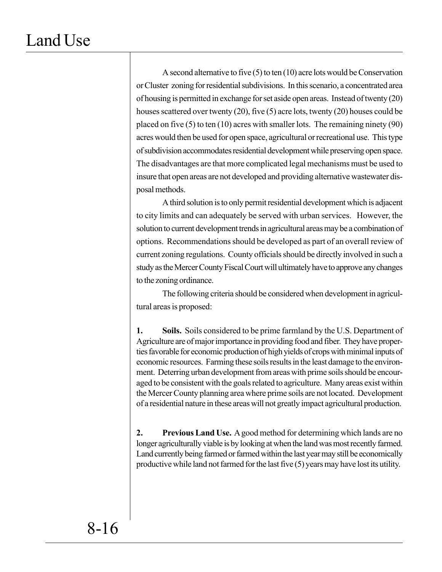A second alternative to five (5) to ten (10) acre lots would be Conservation or Cluster zoning for residential subdivisions. In this scenario, a concentrated area of housing is permitted in exchange for set aside open areas. Instead of twenty (20) houses scattered over twenty (20), five (5) acre lots, twenty (20) houses could be placed on five (5) to ten (10) acres with smaller lots. The remaining ninety (90) acres would then be used for open space, agricultural or recreational use. This type of subdivision accommodates residential development while preserving open space. The disadvantages are that more complicated legal mechanisms must be used to insure that open areas are not developed and providing alternative wastewater disposal methods.

A third solution is to only permit residential development which is adjacent to city limits and can adequately be served with urban services. However, the solution to current development trends in agricultural areas may be a combination of options. Recommendations should be developed as part of an overall review of current zoning regulations. County officials should be directly involved in such a study as the Mercer County Fiscal Court will ultimately have to approve any changes to the zoning ordinance.

The following criteria should be considered when development in agricultural areas is proposed:

**1. Soils.** Soils considered to be prime farmland by the U.S. Department of Agriculture are of major importance in providing food and fiber. They have properties favorable for economic production of high yields of crops with minimal inputs of economic resources. Farming these soils results in the least damage to the environment. Deterring urban development from areas with prime soils should be encouraged to be consistent with the goals related to agriculture. Many areas exist within the Mercer County planning area where prime soils are not located. Development of a residential nature in these areas will not greatly impact agricultural production.

**2. Previous Land Use.** A good method for determining which lands are no longer agriculturally viable is by looking at when the land was most recently farmed. Land currently being farmed or farmed within the last year may still be economically productive while land not farmed for the last five (5) years may have lost its utility.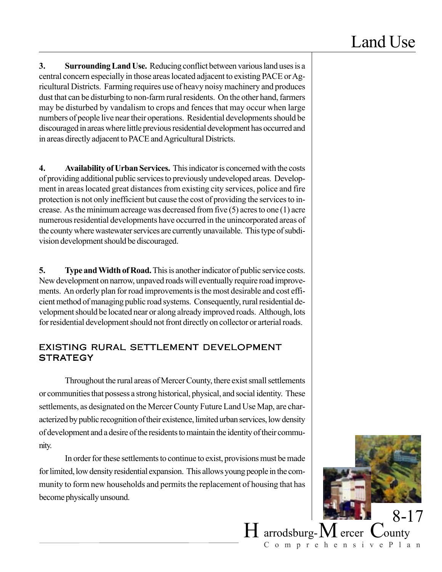**3. Surrounding Land Use.** Reducing conflict between various land uses is a central concern especially in those areas located adjacent to existing PACE or Agricultural Districts. Farming requires use of heavy noisy machinery and produces dust that can be disturbing to non-farm rural residents. On the other hand, farmers may be disturbed by vandalism to crops and fences that may occur when large numbers of people live near their operations. Residential developments should be discouraged in areas where little previous residential development has occurred and in areas directly adjacent to PACE and Agricultural Districts.

**4. Availability of Urban Services.** This indicator is concerned with the costs of providing additional public services to previously undeveloped areas. Development in areas located great distances from existing city services, police and fire protection is not only inefficient but cause the cost of providing the services to increase. As the minimum acreage was decreased from five (5) acres to one (1) acre numerous residential developments have occurred in the unincorporated areas of the county where wastewater services are currently unavailable. This type of subdivision development should be discouraged.

**5. Type and Width of Road.** This is another indicator of public service costs. New development on narrow, unpaved roads will eventually require road improvements. An orderly plan for road improvements is the most desirable and cost efficient method of managing public road systems. Consequently, rural residential development should be located near or along already improved roads. Although, lots for residential development should not front directly on collector or arterial roads.

### EXISTING RURAL SETTLEMENT DEVELOPMENT **STRATEGY**

Throughout the rural areas of Mercer County, there exist small settlements or communities that possess a strong historical, physical, and social identity. These settlements, as designated on the Mercer County Future Land Use Map, are characterized by public recognition of their existence, limited urban services, low density of development and a desire of the residents to maintain the identity of their community.

In order for these settlements to continue to exist, provisions must be made for limited, low density residential expansion. This allows young people in the community to form new households and permits the replacement of housing that has become physically unsound.

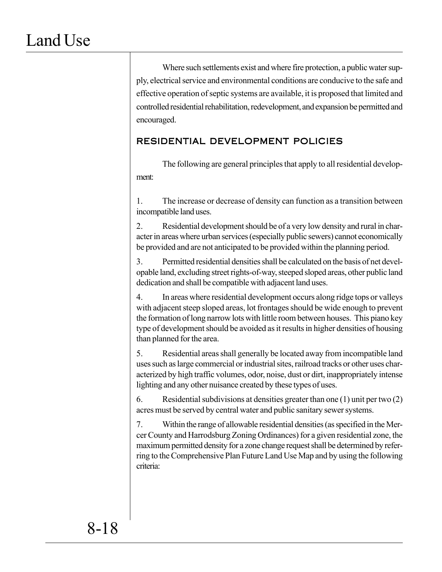Where such settlements exist and where fire protection, a public water supply, electrical service and environmental conditions are conducive to the safe and effective operation of septic systems are available, it is proposed that limited and controlled residential rehabilitation, redevelopment, and expansion be permitted and encouraged.

## RESIDENTIAL DEVELOPMENT POLICIES

The following are general principles that apply to all residential development:

1. The increase or decrease of density can function as a transition between incompatible land uses.

2. Residential development should be of a very low density and rural in character in areas where urban services (especially public sewers) cannot economically be provided and are not anticipated to be provided within the planning period.

3. Permitted residential densities shall be calculated on the basis of net developable land, excluding street rights-of-way, steeped sloped areas, other public land dedication and shall be compatible with adjacent land uses.

4. In areas where residential development occurs along ridge tops or valleys with adjacent steep sloped areas, lot frontages should be wide enough to prevent the formation of long narrow lots with little room between houses. This piano key type of development should be avoided as it results in higher densities of housing than planned for the area.

5. Residential areas shall generally be located away from incompatible land uses such as large commercial or industrial sites, railroad tracks or other uses characterized by high traffic volumes, odor, noise, dust or dirt, inappropriately intense lighting and any other nuisance created by these types of uses.

6. Residential subdivisions at densities greater than one (1) unit per two (2) acres must be served by central water and public sanitary sewer systems.

7. Within the range of allowable residential densities (as specified in the Mercer County and Harrodsburg Zoning Ordinances) for a given residential zone, the maximum permitted density for a zone change request shall be determined by referring to the Comprehensive Plan Future Land Use Map and by using the following criteria: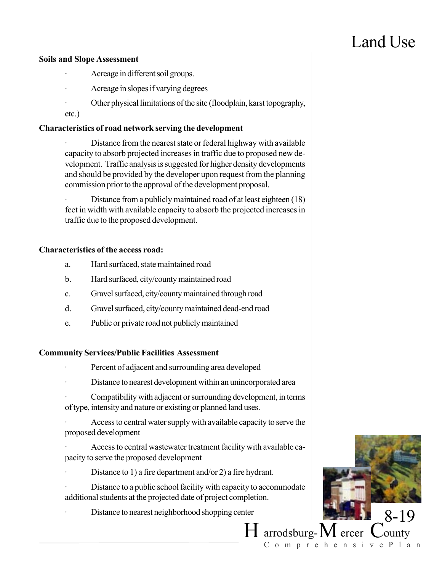#### **Soils and Slope Assessment**

- Acreage in different soil groups.
- Acreage in slopes if varying degrees
- Other physical limitations of the site (floodplain, karst topography, etc.)

### **Characteristics of road network serving the development**

Distance from the nearest state or federal highway with available capacity to absorb projected increases in traffic due to proposed new development. Traffic analysis is suggested for higher density developments and should be provided by the developer upon request from the planning commission prior to the approval of the development proposal.

Distance from a publicly maintained road of at least eighteen (18) feet in width with available capacity to absorb the projected increases in traffic due to the proposed development.

### **Characteristics of the access road:**

- a. Hard surfaced, state maintained road
- b. Hard surfaced, city/county maintained road
- c. Gravel surfaced, city/county maintained through road
- d. Gravel surfaced, city/county maintained dead-end road
- e. Public or private road not publicly maintained

### **Community Services/Public Facilities Assessment**

- Percent of adjacent and surrounding area developed
- Distance to nearest development within an unincorporated area
- Compatibility with adjacent or surrounding development, in terms of type, intensity and nature or existing or planned land uses.
- Access to central water supply with available capacity to serve the proposed development
- Access to central wastewater treatment facility with available capacity to serve the proposed development
- Distance to 1) a fire department and/or 2) a fire hydrant.
- Distance to a public school facility with capacity to accommodate additional students at the projected date of project completion.
- Distance to nearest neighborhood shopping center

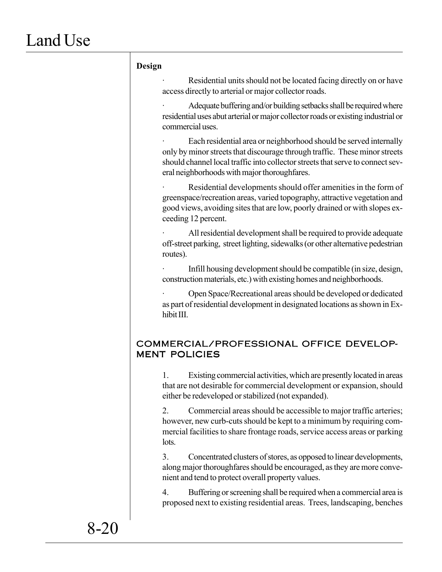### **Design**

Residential units should not be located facing directly on or have access directly to arterial or major collector roads.

Adequate buffering and/or building setbacks shall be required where residential uses abut arterial or major collector roads or existing industrial or commercial uses.

Each residential area or neighborhood should be served internally only by minor streets that discourage through traffic. These minor streets should channel local traffic into collector streets that serve to connect several neighborhoods with major thoroughfares.

Residential developments should offer amenities in the form of greenspace/recreation areas, varied topography, attractive vegetation and good views, avoiding sites that are low, poorly drained or with slopes exceeding 12 percent.

All residential development shall be required to provide adequate off-street parking, street lighting, sidewalks (or other alternative pedestrian routes).

Infill housing development should be compatible (in size, design, construction materials, etc.) with existing homes and neighborhoods.

· Open Space/Recreational areas should be developed or dedicated as part of residential development in designated locations as shown in Exhibit III.

### COMMERCIAL/PROFESSIONAL OFFICE DEVELOP-MENT POLICIES

1. Existing commercial activities, which are presently located in areas that are not desirable for commercial development or expansion, should either be redeveloped or stabilized (not expanded).

2. Commercial areas should be accessible to major traffic arteries; however, new curb-cuts should be kept to a minimum by requiring commercial facilities to share frontage roads, service access areas or parking lots.

3. Concentrated clusters of stores, as opposed to linear developments, along major thoroughfares should be encouraged, as they are more convenient and tend to protect overall property values.

4. Buffering or screening shall be required when a commercial area is proposed next to existing residential areas. Trees, landscaping, benches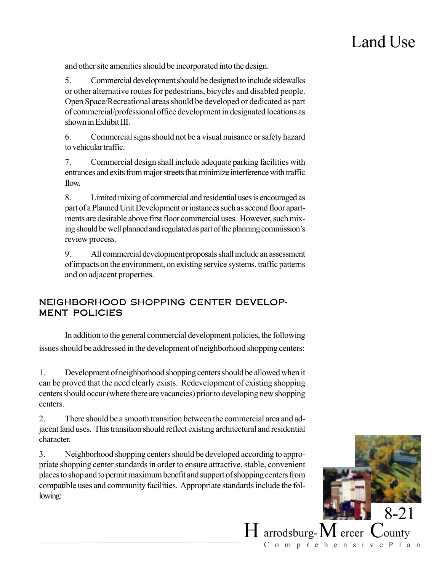and other site amenities should be incorporated into the design.

5. Commercial development should be designed to include sidewalks or other alternative routes for pedestrians, bicycles and disabled people. Open Space/Recreational areas should be developed or dedicated as part of commercial/professional office development in designated locations as shown in Exhibit III.

6. Commercial signs should not be a visual nuisance or safety hazard to vehicular traffic.

7. Commercial design shall include adequate parking facilities with entrances and exits from major streets that minimize interference with traffic flow.

8. Limited mixing of commercial and residential uses is encouraged as part of a Planned Unit Development or instances such as second floor apartments are desirable above first floor commercial uses. However, such mixing should be well planned and regulated as part of the planning commission's review process.

9. All commercial development proposals shall include an assessment of impacts on the environment, on existing service systems, traffic patterns and on adjacent properties.

## NEIGHBORHOOD SHOPPING CENTER DEVELOP-MENT POLICIES

In addition to the general commercial development policies, the following issues should be addressed in the development of neighborhood shopping centers:

1. Development of neighborhood shopping centers should be allowed when it can be proved that the need clearly exists. Redevelopment of existing shopping centers should occur (where there are vacancies) prior to developing new shopping centers.

2. There should be a smooth transition between the commercial area and adjacent land uses. This transition should reflect existing architectural and residential character.

3. Neighborhood shopping centers should be developed according to appropriate shopping center standards in order to ensure attractive, stable, convenient places to shop and to permit maximum benefit and support of shopping centers from compatible uses and community facilities. Appropriate standards include the following:

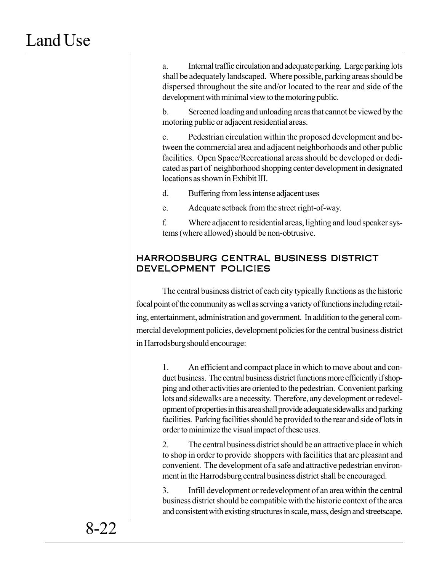a. Internal traffic circulation and adequate parking. Large parking lots shall be adequately landscaped. Where possible, parking areas should be dispersed throughout the site and/or located to the rear and side of the development with minimal view to the motoring public.

b. Screened loading and unloading areas that cannot be viewed by the motoring public or adjacent residential areas.

c. Pedestrian circulation within the proposed development and between the commercial area and adjacent neighborhoods and other public facilities. Open Space/Recreational areas should be developed or dedicated as part of neighborhood shopping center development in designated locations as shown in Exhibit III.

d. Buffering from less intense adjacent uses

e. Adequate setback from the street right-of-way.

f. Where adjacent to residential areas, lighting and loud speaker systems (where allowed) should be non-obtrusive.

## HARRODSBURG CENTRAL BUSINESS DISTRICT DEVELOPMENT POLICIES

The central business district of each city typically functions as the historic focal point of the community as well as serving a variety of functions including retailing, entertainment, administration and government. In addition to the general commercial development policies, development policies for the central business district in Harrodsburg should encourage:

1. An efficient and compact place in which to move about and conduct business. The central business district functions more efficiently if shopping and other activities are oriented to the pedestrian. Convenient parking lots and sidewalks are a necessity. Therefore, any development or redevelopment of properties in this area shall provide adequate sidewalks and parking facilities. Parking facilities should be provided to the rear and side of lots in order to minimize the visual impact of these uses.

2. The central business district should be an attractive place in which to shop in order to provide shoppers with facilities that are pleasant and convenient. The development of a safe and attractive pedestrian environment in the Harrodsburg central business district shall be encouraged.

3. Infill development or redevelopment of an area within the central business district should be compatible with the historic context of the area and consistent with existing structures in scale, mass, design and streetscape.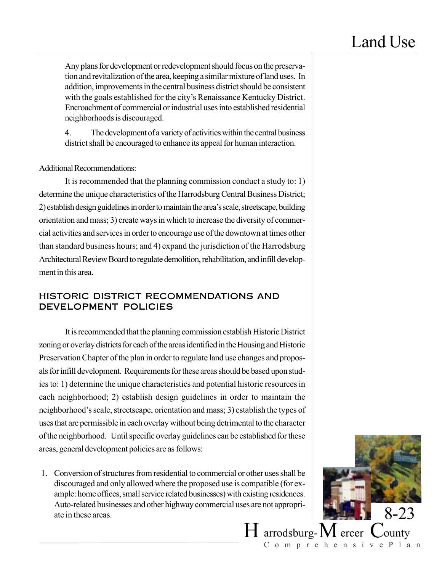Any plans for development or redevelopment should focus on the preservation and revitalization of the area, keeping a similar mixture of land uses. In addition, improvements in the central business district should be consistent with the goals established for the city's Renaissance Kentucky District. Encroachment of commercial or industrial uses into established residential neighborhoods is discouraged.

4. The development of a variety of activities within the central business district shall be encouraged to enhance its appeal for human interaction.

Additional Recommendations:

It is recommended that the planning commission conduct a study to: 1) determine the unique characteristics of the Harrodsburg Central Business District; 2) establish design guidelines in order to maintain the area's scale, streetscape, building orientation and mass; 3) create ways in which to increase the diversity of commercial activities and services in order to encourage use of the downtown at times other than standard business hours; and 4) expand the jurisdiction of the Harrodsburg Architectural Review Board to regulate demolition, rehabilitation, and infill development in this area.

### HISTORIC DISTRICT RECOMMENDATIONS AND DEVELOPMENT POLICIES

It is recommended that the planning commission establish Historic District zoning or overlay districts for each of the areas identified in the Housing and Historic Preservation Chapter of the plan in order to regulate land use changes and proposals for infill development. Requirements for these areas should be based upon studies to: 1) determine the unique characteristics and potential historic resources in each neighborhood; 2) establish design guidelines in order to maintain the neighborhood's scale, streetscape, orientation and mass; 3) establish the types of uses that are permissible in each overlay without being detrimental to the character of the neighborhood. Until specific overlay guidelines can be established for these areas, general development policies are as follows:

1. Conversion of structures from residential to commercial or other uses shall be discouraged and only allowed where the proposed use is compatible (for example: home offices, small service related businesses) with existing residences. Auto-related businesses and other highway commercial uses are not appropriate in these areas.

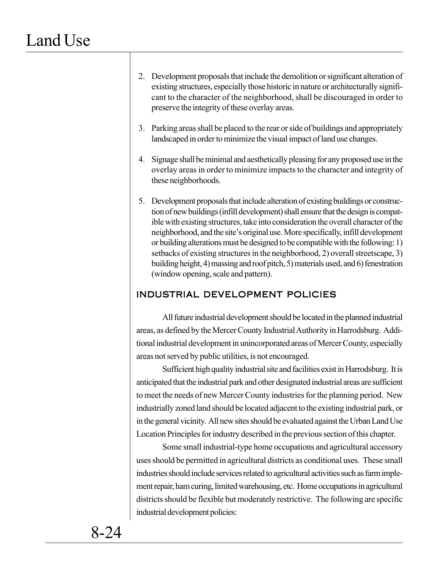2. Development proposals that include the demolition or significant alteration of existing structures, especially those historic in nature or architecturally significant to the character of the neighborhood, shall be discouraged in order to preserve the integrity of these overlay areas.

3. Parking areas shall be placed to the rear or side of buildings and appropriately landscaped in order to minimize the visual impact of land use changes.

4. Signage shall be minimal and aesthetically pleasing for any proposed use in the overlay areas in order to minimize impacts to the character and integrity of these neighborhoods.

5. Development proposals that include alteration of existing buildings or construction of new buildings (infill development) shall ensure that the design is compatible with existing structures, take into consideration the overall character of the neighborhood, and the site's original use. More specifically, infill development or building alterations must be designed to be compatible with the following: 1) setbacks of existing structures in the neighborhood, 2) overall streetscape, 3) building height, 4) massing and roof pitch, 5) materials used, and 6) fenestration (window opening, scale and pattern).

### INDUSTRIAL DEVELOPMENT POLICIES

All future industrial development should be located in the planned industrial areas, as defined by the Mercer County Industrial Authority in Harrodsburg. Additional industrial development in unincorporated areas of Mercer County, especially areas not served by public utilities, is not encouraged.

Sufficient high quality industrial site and facilities exist in Harrodsburg. It is anticipated that the industrial park and other designated industrial areas are sufficient to meet the needs of new Mercer County industries for the planning period. New industrially zoned land should be located adjacent to the existing industrial park, or in the general vicinity. All new sites should be evaluated against the Urban Land Use Location Principles for industry described in the previous section of this chapter.

Some small industrial-type home occupations and agricultural accessory uses should be permitted in agricultural districts as conditional uses. These small industries should include services related to agricultural activities such as farm implement repair, ham curing, limited warehousing, etc. Home occupations in agricultural districts should be flexible but moderately restrictive. The following are specific industrial development policies: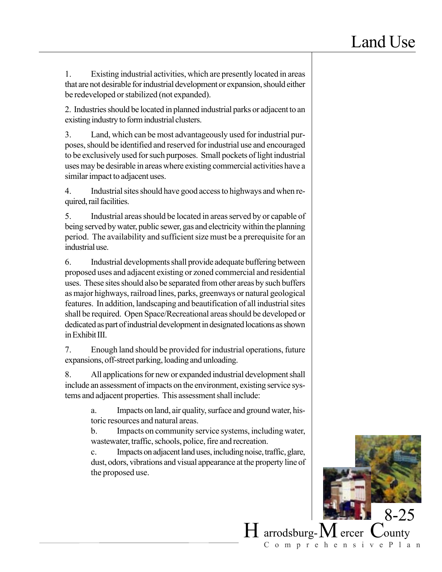1. Existing industrial activities, which are presently located in areas that are not desirable for industrial development or expansion, should either be redeveloped or stabilized (not expanded).

2. Industries should be located in planned industrial parks or adjacent to an existing industry to form industrial clusters.

3. Land, which can be most advantageously used for industrial purposes, should be identified and reserved for industrial use and encouraged to be exclusively used for such purposes. Small pockets of light industrial uses may be desirable in areas where existing commercial activities have a similar impact to adjacent uses.

4. Industrial sites should have good access to highways and when required, rail facilities.

5. Industrial areas should be located in areas served by or capable of being served by water, public sewer, gas and electricity within the planning period. The availability and sufficient size must be a prerequisite for an industrial use.

6. Industrial developments shall provide adequate buffering between proposed uses and adjacent existing or zoned commercial and residential uses. These sites should also be separated from other areas by such buffers as major highways, railroad lines, parks, greenways or natural geological features. In addition, landscaping and beautification of all industrial sites shall be required. Open Space/Recreational areas should be developed or dedicated as part of industrial development in designated locations as shown in Exhibit III.

7. Enough land should be provided for industrial operations, future expansions, off-street parking, loading and unloading.

8. All applications for new or expanded industrial development shall include an assessment of impacts on the environment, existing service systems and adjacent properties. This assessment shall include:

> a. Impacts on land, air quality, surface and ground water, historic resources and natural areas.

> b. Impacts on community service systems, including water, wastewater, traffic, schools, police, fire and recreation.

> c. Impacts on adjacent land uses, including noise, traffic, glare, dust, odors, vibrations and visual appearance at the property line of the proposed use.

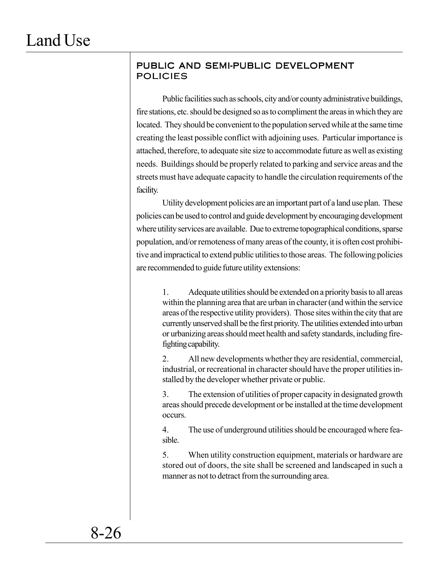### PUBLIC AND SEMI-PUBLIC DEVELOPMENT POLICIES

Public facilities such as schools, city and/or county administrative buildings, fire stations, etc. should be designed so as to compliment the areas in which they are located. They should be convenient to the population served while at the same time creating the least possible conflict with adjoining uses. Particular importance is attached, therefore, to adequate site size to accommodate future as well as existing needs. Buildings should be properly related to parking and service areas and the streets must have adequate capacity to handle the circulation requirements of the facility.

Utility development policies are an important part of a land use plan. These policies can be used to control and guide development by encouraging development where utility services are available. Due to extreme topographical conditions, sparse population, and/or remoteness of many areas of the county, it is often cost prohibitive and impractical to extend public utilities to those areas. The following policies are recommended to guide future utility extensions:

1. Adequate utilities should be extended on a priority basis to all areas within the planning area that are urban in character (and within the service areas of the respective utility providers). Those sites within the city that are currently unserved shall be the first priority. The utilities extended into urban or urbanizing areas should meet health and safety standards, including firefighting capability.

2. All new developments whether they are residential, commercial, industrial, or recreational in character should have the proper utilities installed by the developer whether private or public.

3. The extension of utilities of proper capacity in designated growth areas should precede development or be installed at the time development occurs.

4. The use of underground utilities should be encouraged where feasible.

5. When utility construction equipment, materials or hardware are stored out of doors, the site shall be screened and landscaped in such a manner as not to detract from the surrounding area.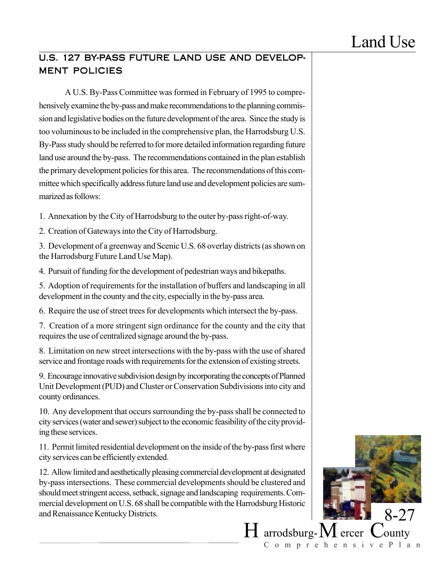## U.S. 127 BY-PASS FUTURE LAND USE AND DEVELOP-MENT POLICIES

A U.S. By-Pass Committee was formed in February of 1995 to comprehensively examine the by-pass and make recommendations to the planning commission and legislative bodies on the future development of the area. Since the study is too voluminous to be included in the comprehensive plan, the Harrodsburg U.S. By-Pass study should be referred to for more detailed information regarding future land use around the by-pass. The recommendations contained in the plan establish the primary development policies for this area. The recommendations of this committee which specifically address future land use and development policies are summarized as follows:

1. Annexation by the City of Harrodsburg to the outer by-pass right-of-way.

2. Creation of Gateways into the City of Harrodsburg.

3. Development of a greenway and Scenic U.S. 68 overlay districts (as shown on the Harrodsburg Future Land Use Map).

4. Pursuit of funding for the development of pedestrian ways and bikepaths.

5. Adoption of requirements for the installation of buffers and landscaping in all development in the county and the city, especially in the by-pass area.

6. Require the use of street trees for developments which intersect the by-pass.

7. Creation of a more stringent sign ordinance for the county and the city that requires the use of centralized signage around the by-pass.

8. Limitation on new street intersections with the by-pass with the use of shared service and frontage roads with requirements for the extension of existing streets.

9. Encourage innovative subdivision design by incorporating the concepts of Planned Unit Development (PUD) and Cluster or Conservation Subdivisions into city and county ordinances.

10. Any development that occurs surrounding the by-pass shall be connected to city services (water and sewer) subject to the economic feasibility of the city providing these services.

11. Permit limited residential development on the inside of the by-pass first where city services can be efficiently extended.

12. Allow limited and aesthetically pleasing commercial development at designated by-pass intersections. These commercial developments should be clustered and should meet stringent access, setback, signage and landscaping requirements. Commercial development on U.S. 68 shall be compatible with the Harrodsburg Historic and Renaissance Kentucky Districts.

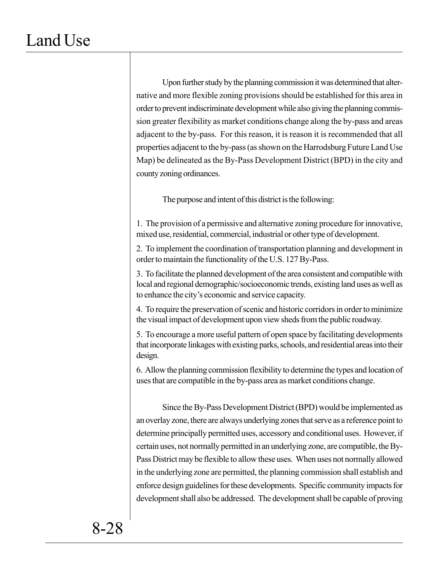Upon further study by the planning commission it was determined that alternative and more flexible zoning provisions should be established for this area in order to prevent indiscriminate development while also giving the planning commission greater flexibility as market conditions change along the by-pass and areas adjacent to the by-pass. For this reason, it is reason it is recommended that all properties adjacent to the by-pass (as shown on the Harrodsburg Future Land Use Map) be delineated as the By-Pass Development District (BPD) in the city and county zoning ordinances.

The purpose and intent of this district is the following:

1. The provision of a permissive and alternative zoning procedure for innovative, mixed use, residential, commercial, industrial or other type of development.

2. To implement the coordination of transportation planning and development in order to maintain the functionality of the U.S. 127 By-Pass.

3. To facilitate the planned development of the area consistent and compatible with local and regional demographic/socioeconomic trends, existing land uses as well as to enhance the city's economic and service capacity.

4. To require the preservation of scenic and historic corridors in order to minimize the visual impact of development upon view sheds from the public roadway.

5. To encourage a more useful pattern of open space by facilitating developments that incorporate linkages with existing parks, schools, and residential areas into their design.

6. Allow the planning commission flexibility to determine the types and location of uses that are compatible in the by-pass area as market conditions change.

Since the By-Pass Development District (BPD) would be implemented as an overlay zone, there are always underlying zones that serve as a reference point to determine principally permitted uses, accessory and conditional uses. However, if certain uses, not normally permitted in an underlying zone, are compatible, the By-Pass District may be flexible to allow these uses. When uses not normally allowed in the underlying zone are permitted, the planning commission shall establish and enforce design guidelines for these developments. Specific community impacts for development shall also be addressed. The development shall be capable of proving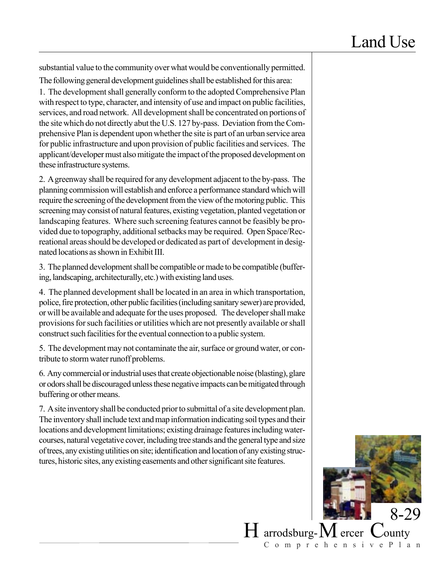substantial value to the community over what would be conventionally permitted.

The following general development guidelines shall be established for this area: 1. The development shall generally conform to the adopted Comprehensive Plan with respect to type, character, and intensity of use and impact on public facilities, services, and road network. All development shall be concentrated on portions of the site which do not directly abut the U.S. 127 by-pass. Deviation from the Comprehensive Plan is dependent upon whether the site is part of an urban service area for public infrastructure and upon provision of public facilities and services. The applicant/developer must also mitigate the impact of the proposed development on these infrastructure systems.

2. A greenway shall be required for any development adjacent to the by-pass. The planning commission will establish and enforce a performance standard which will require the screening of the development from the view of the motoring public. This screening may consist of natural features, existing vegetation, planted vegetation or landscaping features. Where such screening features cannot be feasibly be provided due to topography, additional setbacks may be required. Open Space/Recreational areas should be developed or dedicated as part of development in designated locations as shown in Exhibit III.

3. The planned development shall be compatible or made to be compatible (buffering, landscaping, architecturally, etc.) with existing land uses.

4. The planned development shall be located in an area in which transportation, police, fire protection, other public facilities (including sanitary sewer) are provided, or will be available and adequate for the uses proposed. The developer shall make provisions for such facilities or utilities which are not presently available or shall construct such facilities for the eventual connection to a public system.

5. The development may not contaminate the air, surface or ground water, or contribute to storm water runoff problems.

6. Any commercial or industrial uses that create objectionable noise (blasting), glare or odors shall be discouraged unless these negative impacts can be mitigated through buffering or other means.

7. A site inventory shall be conducted prior to submittal of a site development plan. The inventory shall include text and map information indicating soil types and their locations and development limitations; existing drainage features including watercourses, natural vegetative cover, including tree stands and the general type and size of trees, any existing utilities on site; identification and location of any existing structures, historic sites, any existing easements and other significant site features.

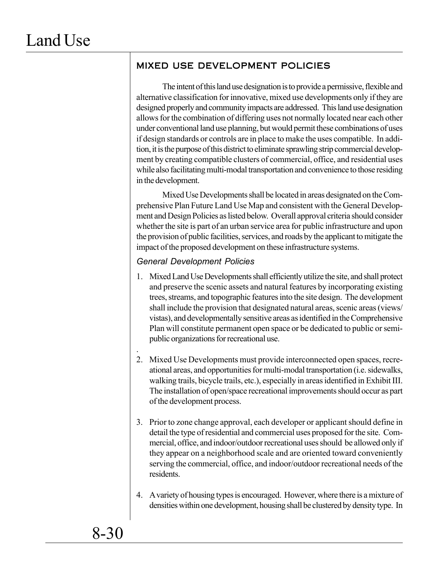## MIXED USE DEVELOPMENT POLICIES

The intent of this land use designation is to provide a permissive, flexible and alternative classification for innovative, mixed use developments only if they are designed properly and community impacts are addressed. This land use designation allows for the combination of differing uses not normally located near each other under conventional land use planning, but would permit these combinations of uses if design standards or controls are in place to make the uses compatible. In addition, it is the purpose of this district to eliminate sprawling strip commercial development by creating compatible clusters of commercial, office, and residential uses while also facilitating multi-modal transportation and convenience to those residing in the development.

Mixed Use Developments shall be located in areas designated on the Comprehensive Plan Future Land Use Map and consistent with the General Development and Design Policies as listed below. Overall approval criteria should consider whether the site is part of an urban service area for public infrastructure and upon the provision of public facilities, services, and roads by the applicant to mitigate the impact of the proposed development on these infrastructure systems.

### *General Development Policies*

- 1. Mixed Land Use Developments shall efficiently utilize the site, and shall protect and preserve the scenic assets and natural features by incorporating existing trees, streams, and topographic features into the site design. The development shall include the provision that designated natural areas, scenic areas (views/ vistas), and developmentally sensitive areas as identified in the Comprehensive Plan will constitute permanent open space or be dedicated to public or semipublic organizations for recreational use.
- . 2. Mixed Use Developments must provide interconnected open spaces, recreational areas, and opportunities for multi-modal transportation (i.e. sidewalks, walking trails, bicycle trails, etc.), especially in areas identified in Exhibit III. The installation of open/space recreational improvements should occur as part of the development process.
- 3. Prior to zone change approval, each developer or applicant should define in detail the type of residential and commercial uses proposed for the site. Commercial, office, and indoor/outdoor recreational uses should be allowed only if they appear on a neighborhood scale and are oriented toward conveniently serving the commercial, office, and indoor/outdoor recreational needs of the residents.
- 4. A variety of housing types is encouraged. However, where there is a mixture of densities within one development, housing shall be clustered by density type. In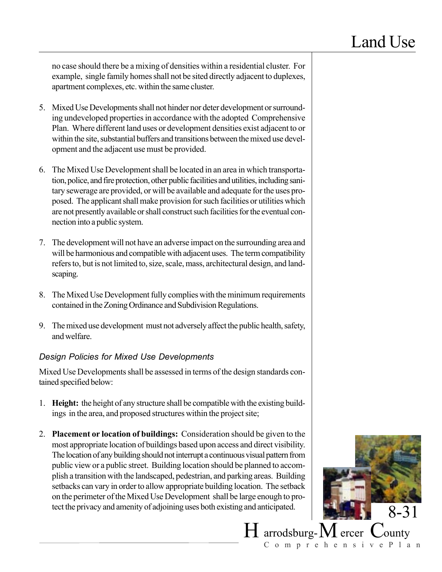no case should there be a mixing of densities within a residential cluster. For example, single family homes shall not be sited directly adjacent to duplexes, apartment complexes, etc. within the same cluster.

- 5. Mixed Use Developments shall not hinder nor deter development or surrounding undeveloped properties in accordance with the adopted Comprehensive Plan. Where different land uses or development densities exist adjacent to or within the site, substantial buffers and transitions between the mixed use development and the adjacent use must be provided.
- 6. The Mixed Use Development shall be located in an area in which transportation, police, and fire protection, other public facilities and utilities, including sanitary sewerage are provided, or will be available and adequate for the uses proposed. The applicant shall make provision for such facilities or utilities which are not presently available or shall construct such facilities for the eventual connection into a public system.
- 7. The development will not have an adverse impact on the surrounding area and will be harmonious and compatible with adjacent uses. The term compatibility refers to, but is not limited to, size, scale, mass, architectural design, and landscaping.
- 8. The Mixed Use Development fully complies with the minimum requirements contained in the Zoning Ordinance and Subdivision Regulations.
- 9. The mixed use development must not adversely affect the public health, safety, and welfare.

### *Design Policies for Mixed Use Developments*

Mixed Use Developments shall be assessed in terms of the design standards contained specified below:

- 1. **Height:** the height of any structure shall be compatible with the existing buildings in the area, and proposed structures within the project site;
- 2. **Placement or location of buildings:** Consideration should be given to the most appropriate location of buildings based upon access and direct visibility. The location of any building should not interrupt a continuous visual pattern from public view or a public street. Building location should be planned to accomplish a transition with the landscaped, pedestrian, and parking areas. Building setbacks can vary in order to allow appropriate building location. The setback on the perimeter of the Mixed Use Development shall be large enough to protect the privacy and amenity of adjoining uses both existing and anticipated.  $8-31$

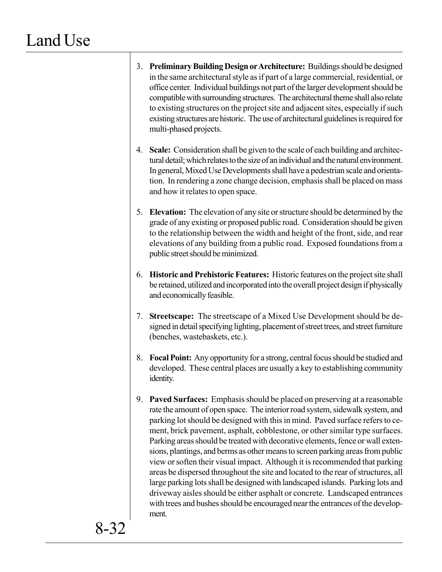- 3. **Preliminary Building Design or Architecture:** Buildings should be designed in the same architectural style as if part of a large commercial, residential, or office center. Individual buildings not part of the larger development should be compatible with surrounding structures. The architectural theme shall also relate to existing structures on the project site and adjacent sites, especially if such existing structures are historic. The use of architectural guidelines is required for multi-phased projects.
- 4. **Scale:** Consideration shall be given to the scale of each building and architectural detail; which relates to the size of an individual and the natural environment. In general, Mixed Use Developments shall have a pedestrian scale and orientation. In rendering a zone change decision, emphasis shall be placed on mass and how it relates to open space.
- 5. **Elevation:** The elevation of any site or structure should be determined by the grade of any existing or proposed public road. Consideration should be given to the relationship between the width and height of the front, side, and rear elevations of any building from a public road. Exposed foundations from a public street should be minimized.
- 6. **Historic and Prehistoric Features:** Historic features on the project site shall be retained, utilized and incorporated into the overall project design if physically and economically feasible.
- 7. **Streetscape:** The streetscape of a Mixed Use Development should be designed in detail specifying lighting, placement of street trees, and street furniture (benches, wastebaskets, etc.).
- 8. **Focal Point:** Any opportunity for a strong, central focus should be studied and developed. These central places are usually a key to establishing community identity.
- 9. **Paved Surfaces:** Emphasis should be placed on preserving at a reasonable rate the amount of open space. The interior road system, sidewalk system, and parking lot should be designed with this in mind. Paved surface refers to cement, brick pavement, asphalt, cobblestone, or other similar type surfaces. Parking areas should be treated with decorative elements, fence or wall extensions, plantings, and berms as other means to screen parking areas from public view or soften their visual impact. Although it is recommended that parking areas be dispersed throughout the site and located to the rear of structures, all large parking lots shall be designed with landscaped islands. Parking lots and driveway aisles should be either asphalt or concrete. Landscaped entrances with trees and bushes should be encouraged near the entrances of the development.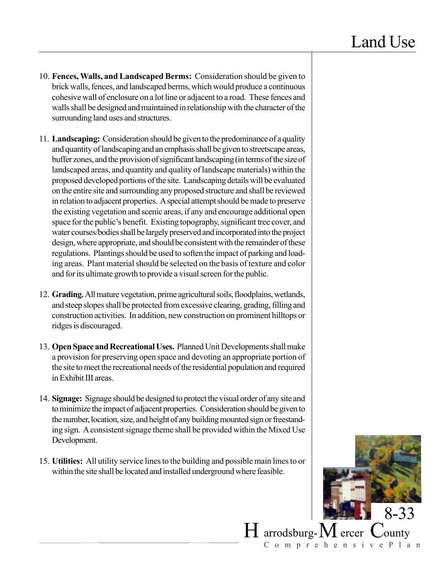- 10. **Fences, Walls, and Landscaped Berms:** Consideration should be given to brick walls, fences, and landscaped berms, which would produce a continuous cohesive wall of enclosure on a lot line or adjacent to a road. These fences and walls shall be designed and maintained in relationship with the character of the surrounding land uses and structures.
- 11. **Landscaping:** Consideration should be given to the predominance of a quality and quantity of landscaping and an emphasis shall be given to streetscape areas, buffer zones, and the provision of significant landscaping (in terms of the size of landscaped areas, and quantity and quality of landscape materials) within the proposed developed portions of the site. Landscaping details will be evaluated on the entire site and surrounding any proposed structure and shall be reviewed in relation to adjacent properties. A special attempt should be made to preserve the existing vegetation and scenic areas, if any and encourage additional open space for the public's benefit. Existing topography, significant tree cover, and water courses/bodies shall be largely preserved and incorporated into the project design, where appropriate, and should be consistent with the remainder of these regulations. Plantings should be used to soften the impact of parking and loading areas. Plant material should be selected on the basis of texture and color and for its ultimate growth to provide a visual screen for the public.
- 12. **Grading.** All mature vegetation, prime agricultural soils, floodplains, wetlands, and steep slopes shall be protected from excessive clearing, grading, filling and construction activities. In addition, new construction on prominent hilltops or ridges is discouraged.
- 13. **Open Space and Recreational Uses.** Planned Unit Developments shall make a provision for preserving open space and devoting an appropriate portion of the site to meet the recreational needs of the residential population and required in Exhibit III areas.
- 14. **Signage:** Signage should be designed to protect the visual order of any site and to minimize the impact of adjacent properties. Consideration should be given to the number, location, size, and height of any building mounted sign or freestanding sign. A consistent signage theme shall be provided within the Mixed Use Development.
- 15. **Utilities:** All utility service lines to the building and possible main lines to or within the site shall be located and installed underground where feasible.